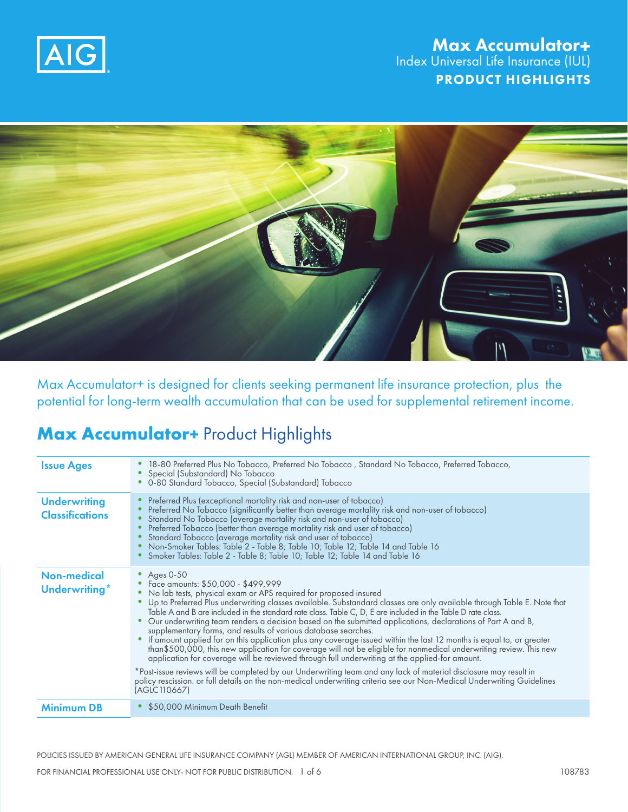

### Max Accumulator+ Index Universal Life Insurance (IUL) PRODUCT HIGHLIGHTS



Max Accumulator+ is designed for clients seeking permanent life insurance protection, plus the potential for long-term wealth accumulation that can be used for supplemental retirement income.

### **Max Accumulator+** Product Highlights

| <b>Issue Ages</b>                             | 18-80 Preferred Plus No Tobacco, Preferred No Tobacco, Standard No Tobacco, Preferred Tobacco,<br>Special (Substandard) No Tobacco<br>• 0-80 Standard Tobacco, Special (Substandard) Tobacco                                                                                                                                                                                                                                                                                                                                                                                                                                                                                                                                                                                                                                                                                                                                                                                                                                                                                                                                                                             |
|-----------------------------------------------|--------------------------------------------------------------------------------------------------------------------------------------------------------------------------------------------------------------------------------------------------------------------------------------------------------------------------------------------------------------------------------------------------------------------------------------------------------------------------------------------------------------------------------------------------------------------------------------------------------------------------------------------------------------------------------------------------------------------------------------------------------------------------------------------------------------------------------------------------------------------------------------------------------------------------------------------------------------------------------------------------------------------------------------------------------------------------------------------------------------------------------------------------------------------------|
| <b>Underwriting</b><br><b>Classifications</b> | Preferred Plus (exceptional mortality risk and non-user of tobacco)<br>Preferred No Tobacco (significantly better than average mortality risk and non-user of tobacco)<br>Standard No Tobacco (average mortality risk and non-user of tobacco)<br>Preferred Tobacco (better than average mortality risk and user of tobacco)<br>Standard Tobacco (average mortality risk and user of tobacco)<br>Non-Smoker Tables: Table 2 - Table 8; Table 10; Table 12; Table 14 and Table 16<br>Smoker Tables: Table 2 - Table 8; Table 10; Table 12; Table 14 and Table 16                                                                                                                                                                                                                                                                                                                                                                                                                                                                                                                                                                                                          |
| <b>Non-medical</b><br><b>Underwriting*</b>    | • Ages $0-50$<br>• Face amounts: \$50,000 - \$499,999<br>• No lab tests, physical exam or APS required for proposed insured<br>Up to Preferred Plus underwriting classes available. Substandard classes are only available through Table E. Note that<br>Table A and B are included in the standard rate class. Table C, D, E are included in the Table D rate class.<br>Our underwriting team renders a decision based on the submitted applications, declarations of Part A and B,<br>supplementary forms, and results of various database searches.<br>• If amount applied for on this application plus any coverage issued within the last 12 months is equal to, or greater<br>than \$500,000, this new application for coverage will not be eligible for nonmedical underwriting review. This new<br>application for coverage will be reviewed through full underwriting at the applied-for amount.<br>*Post-issue reviews will be completed by our Underwriting team and any lack of material disclosure may result in<br>policy rescission. or full details on the non-medical underwriting criteria see our Non-Medical Underwriting Guidelines<br>(AGLC110667) |
| <b>Minimum DB</b>                             | \$50,000 Minimum Death Benefit                                                                                                                                                                                                                                                                                                                                                                                                                                                                                                                                                                                                                                                                                                                                                                                                                                                                                                                                                                                                                                                                                                                                           |

POLICIES ISSUED BY AMERICAN GENERAL LIFE INSURANCE COMPANY (AGL) MEMBER OF AMERICAN INTERNATIONAL GROUP, INC. (AIG).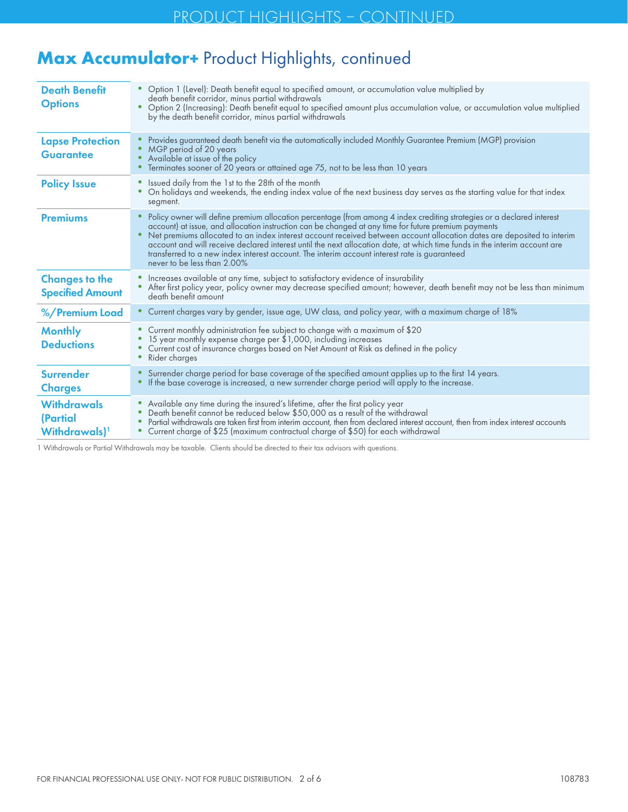# **Max Accumulator+** Product Highlights, continued

| <b>Death Benefit</b><br><b>Options</b>                      | • Option 1 (Level): Death benefit equal to specified amount, or accumulation value multiplied by<br>death benefit corridor, minus partial withdrawals<br>• Option 2 (Increasing): Death benefit equal to specified amount plus accumulation value, or accumulation value multiplied<br>by the death benefit corridor, minus partial withdrawals                                                                                                                                                                                                                                                                                   |
|-------------------------------------------------------------|-----------------------------------------------------------------------------------------------------------------------------------------------------------------------------------------------------------------------------------------------------------------------------------------------------------------------------------------------------------------------------------------------------------------------------------------------------------------------------------------------------------------------------------------------------------------------------------------------------------------------------------|
| <b>Lapse Protection</b><br><b>Guarantee</b>                 | Provides guaranteed death benefit via the automatically included Monthly Guarantee Premium (MGP) provision<br>MGP period of 20 years<br>Available at issue of the policy<br>Terminates sooner of 20 years or attained age 75, not to be less than 10 years                                                                                                                                                                                                                                                                                                                                                                        |
| <b>Policy Issue</b>                                         | Issued daily from the 1st to the 28th of the month<br>٠<br>On holidays and weekends, the ending index value of the next business day serves as the starting value for that index<br>segment.                                                                                                                                                                                                                                                                                                                                                                                                                                      |
| <b>Premiums</b>                                             | Policy owner will define premium allocation percentage (from among 4 index crediting strategies or a declared interest<br>$\bullet$<br>account) at issue, and allocation instruction can be changed at any time for future premium payments<br>Net premiums allocated to an index interest account received between account allocation dates are deposited to interim<br>account and will receive declared interest until the next allocation date, at which time funds in the interim account are<br>transferred to a new index interest account. The interim account interest rate is guaranteed<br>never to be less than 2.00% |
| <b>Changes to the</b><br><b>Specified Amount</b>            | Increases available at any time, subject to satisfactory evidence of insurability<br>After first policy year, policy owner may decrease specified amount; however, death benefit may not be less than minimum<br>death benefit amount                                                                                                                                                                                                                                                                                                                                                                                             |
| %/Premium Load                                              | Current charges vary by gender, issue age, UW class, and policy year, with a maximum charge of 18%                                                                                                                                                                                                                                                                                                                                                                                                                                                                                                                                |
| <b>Monthly</b><br><b>Deductions</b>                         | • Current monthly administration fee subject to change with a maximum of \$20<br>15 year monthly expense charge per \$1,000, including increases<br>Current cost of insurance charges based on Net Amount at Risk as defined in the policy<br>• Rider charges                                                                                                                                                                                                                                                                                                                                                                     |
| <b>Surrender</b><br><b>Charges</b>                          | Surrender charge period for base coverage of the specified amount applies up to the first 14 years.<br>If the base coverage is increased, a new surrender charge period will apply to the increase.                                                                                                                                                                                                                                                                                                                                                                                                                               |
| <b>Withdrawals</b><br>(Partial<br>Withdrawals) <sup>1</sup> | • Available any time during the insured's lifetime, after the first policy year<br>Death benefit cannot be reduced below \$50,000 as a result of the withdrawal<br>Partial withdrawals are taken first from interim account, then from declared interest account, then from index interest accounts<br>• Current charge of \$25 (maximum contractual charge of \$50) for each withdrawal                                                                                                                                                                                                                                          |

1 Withdrawals or Partial Withdrawals may be taxable. Clients should be directed to their tax advisors with questions.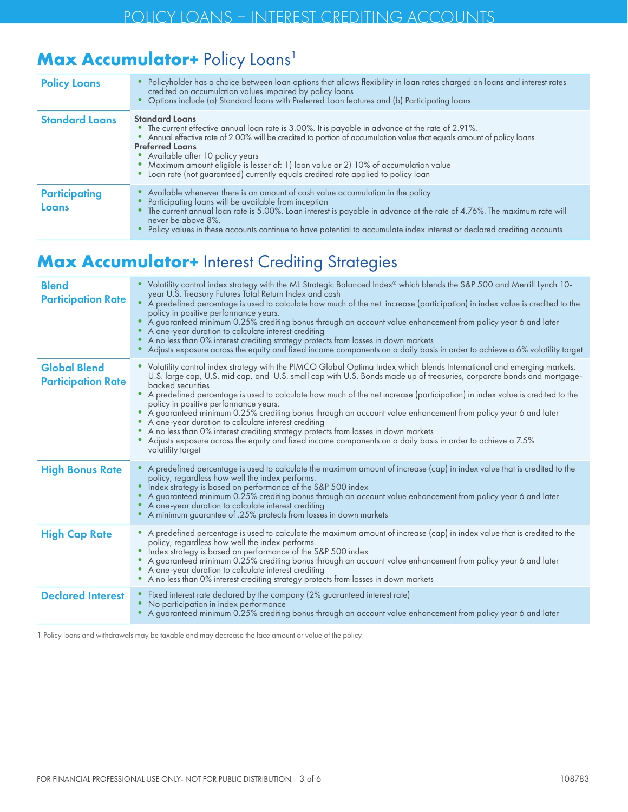### **Max Accumulator+** Policy Loans<sup>1</sup>

| <b>Policy Loans</b>           | Policyholder has a choice between loan options that allows flexibility in loan rates charged on loans and interest rates<br>credited on accumulation values impaired by policy loans<br>• Options include (a) Standard loans with Preferred Loan features and (b) Participating loans                                                                                                                                                                                                             |
|-------------------------------|---------------------------------------------------------------------------------------------------------------------------------------------------------------------------------------------------------------------------------------------------------------------------------------------------------------------------------------------------------------------------------------------------------------------------------------------------------------------------------------------------|
| <b>Standard Loans</b>         | <b>Standard Loans</b><br>• The current effective annual loan rate is 3.00%. It is payable in advance at the rate of 2.91%.<br>• Annual effective rate of 2.00% will be credited to portion of accumulation value that equals amount of policy loans<br><b>Preferred Loans</b><br>• Available after 10 policy years<br>• Maximum amount eligible is lesser of: 1) loan value or 2) 10% of accumulation value<br>• Loan rate (not guaranteed) currently equals credited rate applied to policy loan |
| <b>Participating</b><br>Loans | Available whenever there is an amount of cash value accumulation in the policy<br>Participating loans will be available from inception<br>The current annual loan rate is 5.00%. Loan interest is payable in advance at the rate of 4.76%. The maximum rate will<br>never be above 8%.<br>• Policy values in these accounts continue to have potential to accumulate index interest or declared crediting accounts                                                                                |

# **Max Accumulator+** Interest Crediting Strategies

| <b>Blend</b><br><b>Participation Rate</b>        | Volatility control index strategy with the ML Strategic Balanced Index® which blends the S&P 500 and Merrill Lynch 10-<br>year U.S. Treasury Futures Total Return Index and cash<br>A predefined percentage is used to calculate how much of the net increase (participation) in index value is credited to the<br>policy in positive performance years.<br>A guaranteed minimum 0.25% crediting bonus through an account value enhancement from policy year 6 and later<br>A one-year duration to calculate interest crediting<br>A no less than 0% interest crediting strategy protects from losses in down markets<br>Adjusts exposure across the equity and fixed income components on a daily basis in order to achieve a 6% volatility target                                                                                                   |
|--------------------------------------------------|-------------------------------------------------------------------------------------------------------------------------------------------------------------------------------------------------------------------------------------------------------------------------------------------------------------------------------------------------------------------------------------------------------------------------------------------------------------------------------------------------------------------------------------------------------------------------------------------------------------------------------------------------------------------------------------------------------------------------------------------------------------------------------------------------------------------------------------------------------|
| <b>Global Blend</b><br><b>Participation Rate</b> | • Volatility control index strategy with the PIMCO Global Optima Index which blends International and emerging markets,<br>U.S. large cap, U.S. mid cap, and U.S. small cap with U.S. Bonds made up of treasuries, corporate bonds and mortgage-<br>backed securities<br>• A predefined percentage is used to calculate how much of the net increase (participation) in index value is credited to the<br>policy in positive performance years.<br>• A guaranteed minimum 0.25% crediting bonus through an account value enhancement from policy year 6 and later<br>• A one-year duration to calculate interest crediting<br>A no less than 0% interest crediting strategy protects from losses in down markets<br>• Adjusts exposure across the equity and fixed income components on a daily basis in order to achieve a 7.5%<br>volatility target |
| <b>High Bonus Rate</b>                           | A predefined percentage is used to calculate the maximum amount of increase (cap) in index value that is credited to the<br>policy, regardless how well the index performs.<br>Index strategy is based on performance of the S&P 500 index<br>A guaranteed minimum 0.25% crediting bonus through an account value enhancement from policy year 6 and later<br>A one-year duration to calculate interest crediting<br>A minimum guarantee of .25% protects from losses in down markets                                                                                                                                                                                                                                                                                                                                                                 |
| <b>High Cap Rate</b>                             | • A predefined percentage is used to calculate the maximum amount of increase (cap) in index value that is credited to the<br>policy, regardless how well the index performs.<br>• Index strategy is based on performance of the S&P 500 index<br>A guaranteed minimum 0.25% crediting bonus through an account value enhancement from policy year 6 and later<br>• A one-year duration to calculate interest crediting<br>• A no less than 0% interest crediting strategy protects from losses in down markets                                                                                                                                                                                                                                                                                                                                       |
| <b>Declared Interest</b>                         | Fixed interest rate declared by the company (2% guaranteed interest rate)<br>No participation in index performance<br>A guaranteed minimum 0.25% crediting bonus through an account value enhancement from policy year 6 and later                                                                                                                                                                                                                                                                                                                                                                                                                                                                                                                                                                                                                    |

1 Policy loans and withdrawals may be taxable and may decrease the face amount or value of the policy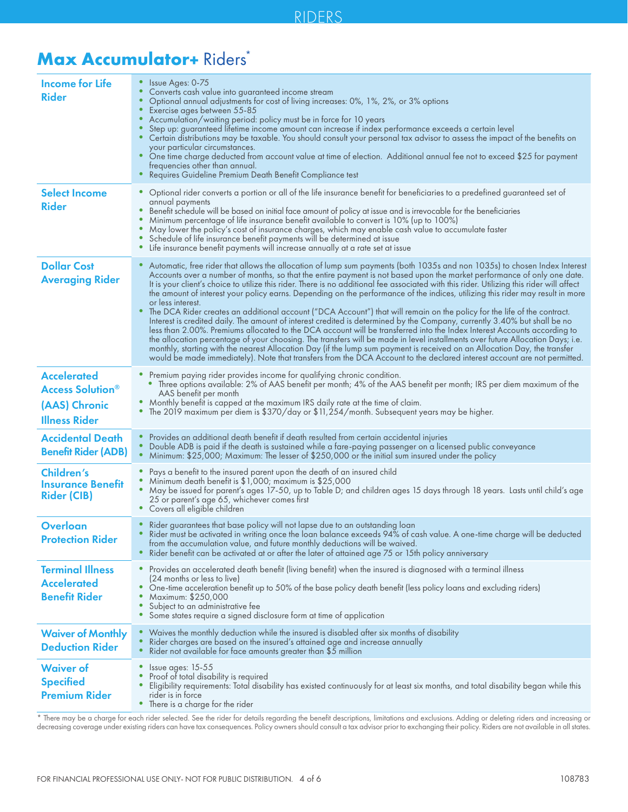# **Max Accumulator+** Riders\*

| <b>Income for Life</b><br><b>Rider</b>                                                 | • Issue Ages: 0-75<br>Converts cash value into guaranteed income stream<br>Optional annual adjustments for cost of living increases: 0%, 1%, 2%, or 3% options<br>Exercise ages between 55-85<br>Accumulation/waiting period: policy must be in force for 10 years<br>٠<br>Step up: guaranteed lifetime income amount can increase if index performance exceeds a certain level<br>Certain distributions may be taxable. You should consult your personal tax advisor to assess the impact of the benefits on<br>$\bullet$<br>your particular circumstances.<br>One time charge deducted from account value at time of election. Additional annual fee not to exceed \$25 for payment<br>$\bullet$<br>frequencies other than annual.<br>Requires Guideline Premium Death Benefit Compliance test                                                                                                                                                                                                                                                                                                                                                                                                                                                                                                                                                        |
|----------------------------------------------------------------------------------------|---------------------------------------------------------------------------------------------------------------------------------------------------------------------------------------------------------------------------------------------------------------------------------------------------------------------------------------------------------------------------------------------------------------------------------------------------------------------------------------------------------------------------------------------------------------------------------------------------------------------------------------------------------------------------------------------------------------------------------------------------------------------------------------------------------------------------------------------------------------------------------------------------------------------------------------------------------------------------------------------------------------------------------------------------------------------------------------------------------------------------------------------------------------------------------------------------------------------------------------------------------------------------------------------------------------------------------------------------------|
| <b>Select Income</b><br><b>Rider</b>                                                   | • Optional rider converts a portion or all of the life insurance benefit for beneficiaries to a predefined guaranteed set of<br>annual payments<br>• Benefit schedule will be based on initial face amount of policy at issue and is irrevocable for the beneficiaries<br>Minimum percentage of life insurance benefit available to convert is 10% (up to 100%)<br>• May lower the policy's cost of insurance charges, which may enable cash value to accumulate faster<br>Schedule of life insurance benefit payments will be determined at issue<br>• Life insurance benefit payments will increase annually at a rate set at issue                                                                                                                                                                                                                                                                                                                                                                                                                                                                                                                                                                                                                                                                                                                   |
| <b>Dollar Cost</b><br><b>Averaging Rider</b>                                           | • Automatic, free rider that allows the allocation of lump sum payments (both 1035s and non 1035s) to chosen Index Interest<br>Accounts over a number of months, so that the entire payment is not based upon the market performance of only one date.<br>It is your client's choice to utilize this rider. There is no additional fee associated with this rider. Utilizing this rider will affect<br>the amount of interest your policy earns. Depending on the performance of the indices, utilizing this rider may result in more<br>or less interest.<br>The DCA Rider creates an additional account ("DCA Account") that will remain on the policy for the life of the contract.<br>$\bullet$<br>Interest is credited daily. The amount of interest credited is determined by the Company, currently 3.40% but shall be no<br>less than 2.00%. Premiums allocated to the DCA account will be transferred into the Index Interest Accounts according to<br>the allocation percentage of your choosing. The transfers will be made in level installments over future Allocation Days; i.e.<br>monthly, starting with the nearest Allocation Day (if the lump sum payment is received on an Allocation Day, the transfer<br>would be made immediately). Note that transfers from the DCA Account to the declared interest account are not permitted. |
| <b>Accelerated</b><br><b>Access Solution®</b><br>(AAS) Chronic<br><b>Illness Rider</b> | • Premium paying rider provides income for qualifying chronic condition.<br>Three options available: 2% of AAS benefit per month; 4% of the AAS benefit per month; IRS per diem maximum of the<br>٠<br>AAS benefit per month<br>• Monthly benefit is capped at the maximum IRS daily rate at the time of claim.<br>The 2019 maximum per diem is $$370/day$ or $$11,254/m$ onth. Subsequent years may be higher.<br>٠                                                                                                                                                                                                                                                                                                                                                                                                                                                                                                                                                                                                                                                                                                                                                                                                                                                                                                                                    |
| <b>Accidental Death</b><br><b>Benefit Rider (ADB)</b>                                  | • Provides an additional death benefit if death resulted from certain accidental injuries<br>Double ADB is paid if the death is sustained while a fare-paying passenger on a licensed public conveyance<br>$\bullet$<br>Minimum: \$25,000; Maximum: The lesser of \$250,000 or the initial sum insured under the policy<br>٠                                                                                                                                                                                                                                                                                                                                                                                                                                                                                                                                                                                                                                                                                                                                                                                                                                                                                                                                                                                                                            |
| <b>Children's</b><br><b>Insurance Benefit</b><br><b>Rider (CIB)</b>                    | Pays a benefit to the insured parent upon the death of an insured child<br>٠<br>• Minimum death benefit is \$1,000; maximum is \$25,000<br>• May be issued for parent's ages 17-50, up to Table D; and children ages 15 days through 18 years. Lasts until child's age<br>25 or parent's age 65, whichever comes first<br>• Covers all eligible children                                                                                                                                                                                                                                                                                                                                                                                                                                                                                                                                                                                                                                                                                                                                                                                                                                                                                                                                                                                                |
| Overloan<br><b>Protection Rider</b>                                                    | • Rider guarantees that base policy will not lapse due to an outstanding loan<br>Rider must be activated in writing once the loan balance exceeds 94% of cash value. A one-time charge will be deducted<br>from the accumulation value, and future monthly deductions will be waived.<br>Rider benefit can be activated at or after the later of attained age 75 or 15th policy anniversary                                                                                                                                                                                                                                                                                                                                                                                                                                                                                                                                                                                                                                                                                                                                                                                                                                                                                                                                                             |
| <b>Terminal Illness</b><br><b>Accelerated</b><br><b>Benefit Rider</b>                  | • Provides an accelerated death benefit (living benefit) when the insured is diagnosed with a terminal illness<br>(24 months or less to live)<br>• One-time acceleration benefit up to 50% of the base policy death benefit (less policy loans and excluding riders)<br>Maximum: \$250,000<br>• Subject to an administrative fee<br>• Some states require a signed disclosure form at time of application                                                                                                                                                                                                                                                                                                                                                                                                                                                                                                                                                                                                                                                                                                                                                                                                                                                                                                                                               |
| <b>Waiver of Monthly</b><br><b>Deduction Rider</b>                                     | • Waives the monthly deduction while the insured is disabled after six months of disability<br>Rider charges are based on the insured's attained age and increase annually<br>٠<br>Rider not available for face amounts greater than \$5 million                                                                                                                                                                                                                                                                                                                                                                                                                                                                                                                                                                                                                                                                                                                                                                                                                                                                                                                                                                                                                                                                                                        |
| <b>Waiver of</b><br><b>Specified</b><br><b>Premium Rider</b>                           | Issue ages: 15-55<br>٠<br>Proof of total disability is required<br>Eligibility requirements: Total disability has existed continuously for at least six months, and total disability began while this<br>rider is in force<br>• There is a charge for the rider                                                                                                                                                                                                                                                                                                                                                                                                                                                                                                                                                                                                                                                                                                                                                                                                                                                                                                                                                                                                                                                                                         |

\* There may be a charge for each rider selected. See the rider for details regarding the benefit descriptions, limitations and exclusions. Adding or deleting riders and increasing or decreasing coverage under existing riders can have tax consequences. Policy owners should consult a tax advisor prior to exchanging their policy. Riders are not available in all states.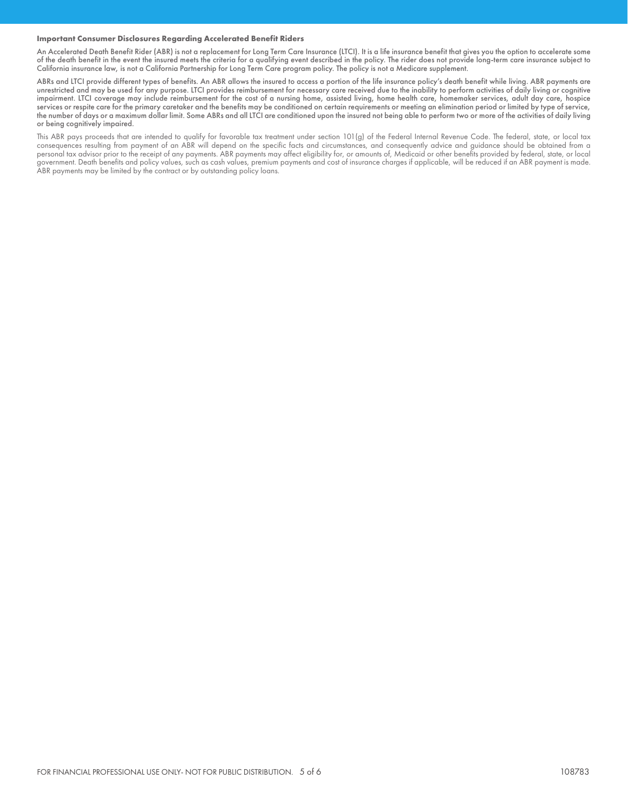#### **Important Consumer Disclosures Regarding Accelerated Benefit Riders**

An Accelerated Death Benefit Rider (ABR) is not a replacement for Long Term Care Insurance (LTCI). It is a life insurance benefit that gives you the option to accelerate some of the death benefit in the event the insured meets the criteria for a qualifying event described in the policy. The rider does not provide long-term care insurance subject to California insurance law, is not a California Partnership for Long Term Care program policy. The policy is not a Medicare supplement.

ABRs and LTCI provide different types of benefits. An ABR allows the insured to access a portion of the life insurance policy's death benefit while living. ABR payments are unrestricted and may be used for any purpose. LTCI provides reimbursement for necessary care received due to the inability to perform activities of daily living or cognitive impairment. LTCI coverage may include reimbursement for the cost of a nursing home, assisted living, home health care, homemaker services, adult day care, hospice services or respite care for the primary caretaker and the benefits may be conditioned on certain requirements or meeting an elimination period or limited by type of service, the number of days or a maximum dollar limit. Some ABRs and all LTCI are conditioned upon the insured not being able to perform two or more of the activities of daily living or being cognitively impaired.

This ABR pays proceeds that are intended to qualify for favorable tax treatment under section 101(g) of the Federal Internal Revenue Code. The federal, state, or local tax consequences resulting from payment of an ABR will depend on the specific facts and circumstances, and consequently advice and guidance should be obtained from a personal tax advisor prior to the receipt of any payments. ABR payments may affect eligibility for, or amounts of, Medicaid or other benefits provided by federal, state, or local government. Death benefits and policy values, such as cash values, premium payments and cost of insurance charges if applicable, will be reduced if an ABR payment is made. ABR payments may be limited by the contract or by outstanding policy loans.